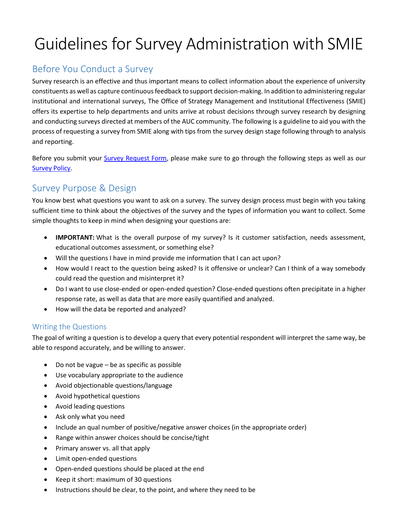# Guidelines for Survey Administration with SMIE

# Before You Conduct a Survey

Survey research is an effective and thus important means to collect information about the experience of university constituents as well as capture continuous feedback to support decision-making. In addition to administering regular institutional and international surveys, The Office of Strategy Management and Institutional Effectiveness (SMIE) offers its expertise to help departments and units arrive at robust decisions through survey research by designing and conducting surveys directed at members of the AUC community. The following is a guideline to aid you with the process of requesting a survey from SMIE along with tips from the survey design stage following through to analysis and reporting.

Before you submit your [Survey Request Form,](https://www.surveymonkey.com/r/SMIESurveyRequestForm) please make sure to go through the following steps as well as our [Survey Policy.](https://documents.aucegypt.edu/Docs/Policies/Survey%20Policy%20and%20Procedures.pdf)

# Survey Purpose & Design

You know best what questions you want to ask on a survey. The survey design process must begin with you taking sufficient time to think about the objectives of the survey and the types of information you want to collect. Some simple thoughts to keep in mind when designing your questions are:

- **IMPORTANT:** What is the overall purpose of my survey? Is it customer satisfaction, needs assessment, educational outcomes assessment, or something else?
- Will the questions I have in mind provide me information that I can act upon?
- How would I react to the question being asked? Is it offensive or unclear? Can I think of a way somebody could read the question and misinterpret it?
- Do I want to use close-ended or open-ended question? Close-ended questions often precipitate in a higher response rate, as well as data that are more easily quantified and analyzed.
- How will the data be reported and analyzed?

#### Writing the Questions

The goal of writing a question is to develop a query that every potential respondent will interpret the same way, be able to respond accurately, and be willing to answer.

- Do not be vague be as specific as possible
- Use vocabulary appropriate to the audience
- Avoid objectionable questions/language
- Avoid hypothetical questions
- Avoid leading questions
- Ask only what you need
- Include an qual number of positive/negative answer choices (in the appropriate order)
- Range within answer choices should be concise/tight
- Primary answer vs. all that apply
- Limit open-ended questions
- Open-ended questions should be placed at the end
- Keep it short: maximum of 30 questions
- Instructions should be clear, to the point, and where they need to be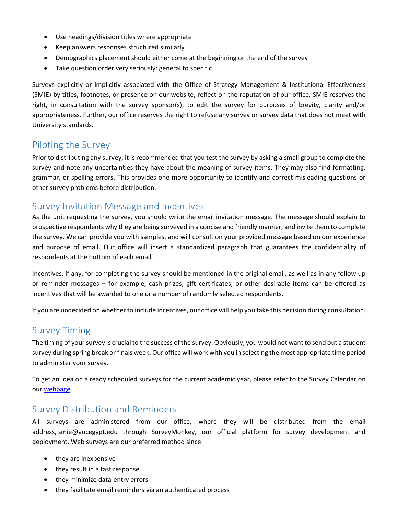- Use headings/division titles where appropriate
- Keep answers responses structured similarly
- Demographics placement should either come at the beginning or the end of the survey
- Take question order very seriously: general to specific

Surveys explicitly or implicitly associated with the Office of Strategy Management & Institutional Effectiveness (SMIE) by titles, footnotes, or presence on our website, reflect on the reputation of our office. SMIE reserves the right, in consultation with the survey sponsor(s), to edit the survey for purposes of brevity, clarity and/or appropriateness. Further, our office reserves the right to refuse any survey or survey data that does not meet with University standards.

#### Piloting the Survey

Prior to distributing any survey, it is recommended that you test the survey by asking a small group to complete the survey and note any uncertainties they have about the meaning of survey items. They may also find formatting, grammar, or spelling errors. This provides one more opportunity to identify and correct misleading questions or other survey problems before distribution.

#### Survey Invitation Message and Incentives

As the unit requesting the survey, you should write the email invitation message. The message should explain to prospective respondents why they are being surveyed in a concise and friendly manner, and invite them to complete the survey. We can provide you with samples, and will consult on your provided message based on our experience and purpose of email. Our office will insert a standardized paragraph that guarantees the confidentiality of respondents at the bottom of each email.

Incentives, if any, for completing the survey should be mentioned in the original email, as well as in any follow up or reminder messages – for example, cash prizes, gift certificates, or other desirable items can be offered as incentives that will be awarded to one or a number of randomly selected respondents.

If you are undecided on whether to include incentives, our office will help you take this decision during consultation.

### Survey Timing

The timing of your survey is crucial to the success of the survey. Obviously, you would not want to send out a student survey during spring break or finals week. Our office will work with you in selecting the most appropriate time period to administer your survey.

To get an idea on already scheduled surveys for the current academic year, please refer to the Survey Calendar on ou[r webpage.](https://www.aucegypt.edu/about/strategy-management-and-institutional-effectiveness/institutional-surveys)

#### Survey Distribution and Reminders

All surveys are administered from our office, where they will be distributed from the email address, [smie@aucegypt.edu](mailto:dair@aucegypt.edu) through SurveyMonkey, our official platform for survey development and deployment. Web surveys are our preferred method since:

- they are inexpensive
- they result in a fast response
- they minimize data-entry errors
- they facilitate email reminders via an authenticated process